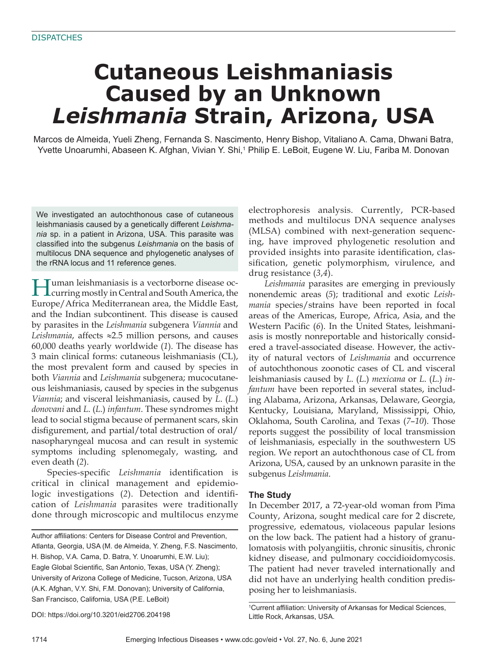# **Cutaneous Leishmaniasis Caused by an Unknown**  *Leishmania* **Strain, Arizona, USA**

Marcos de Almeida, Yueli Zheng, Fernanda S. Nascimento, Henry Bishop, Vitaliano A. Cama, Dhwani Batra, Yvette Unoarumhi, Abaseen K. Afghan, Vivian Y. Shi,<sup>1</sup> Philip E. LeBoit, Eugene W. Liu, Fariba M. Donovan

We investigated an autochthonous case of cutaneous leishmaniasis caused by a genetically different Leishma*nia* sp. in a patient in Arizona, USA. This parasite was classified into the subgenus *Leishmania* on the basis of multilocus DNA sequence and phylogenetic analyses of the rRNA locus and 11 reference genes.

Human leishmaniasis is a vectorborne disease oc-curring mostly in Central and South America, the Europe/Africa Mediterranean area, the Middle East, and the Indian subcontinent. This disease is caused by parasites in the *Leishmania* subgenera *Viannia* and *Leishmania*, affects ≈2.5 million persons, and causes 60,000 deaths yearly worldwide (*1*). The disease has 3 main clinical forms: cutaneous leishmaniasis (CL), the most prevalent form and caused by species in both *Viannia* and *Leishmania* subgenera; mucocutaneous leishmaniasis, caused by species in the subgenus *Viannia*; and visceral leishmaniasis, caused by *L*. (*L*.) *donovani* and *L*. (*L*.) *infantum*. These syndromes might lead to social stigma because of permanent scars, skin disfigurement, and partial/total destruction of oral/ nasopharyngeal mucosa and can result in systemic symptoms including splenomegaly, wasting, and even death (*2*).

Species-specific *Leishmania* identification is critical in clinical management and epidemiologic investigations (2). Detection and identification of *Leishmania* parasites were traditionally done through microscopic and multilocus enzyme

Author affiliations: Centers for Disease Control and Prevention, Atlanta, Georgia, USA (M. de Almeida, Y. Zheng, F.S. Nascimento, H. Bishop, V.A. Cama, D. Batra, Y. Unoarumhi, E.W. Liu); Eagle Global Scientific, San Antonio, Texas, USA (Y. Zheng); University of Arizona College of Medicine, Tucson, Arizona, USA (A.K. Afghan, V.Y. Shi, F.M. Donovan); University of California, San Francisco, California, USA (P.E. LeBoit)

DOI: https://doi.org/10.3201/eid2706.204198

electrophoresis analysis. Currently, PCR-based methods and multilocus DNA sequence analyses (MLSA) combined with next-generation sequencing, have improved phylogenetic resolution and provided insights into parasite identification, classification, genetic polymorphism, virulence, and drug resistance (*3*,*4*).

*Leishmania* parasites are emerging in previously nonendemic areas (*5*); traditional and exotic *Leishmania* species/strains have been reported in focal areas of the Americas, Europe, Africa, Asia, and the Western Pacific (6). In the United States, leishmaniasis is mostly nonreportable and historically considered a travel-associated disease. However, the activity of natural vectors of *Leishmania* and occurrence of autochthonous zoonotic cases of CL and visceral leishmaniasis caused by *L*. (*L*.) *mexicana* or *L*. (*L*.) *infantum* have been reported in several states, including Alabama, Arizona, Arkansas, Delaware, Georgia, Kentucky, Louisiana, Maryland, Mississippi, Ohio, Oklahoma, South Carolina, and Texas (*7*–*10*). Those reports suggest the possibility of local transmission of leishmaniasis, especially in the southwestern US region. We report an autochthonous case of CL from Arizona, USA, caused by an unknown parasite in the subgenus *Leishmania*.

## **The Study**

In December 2017, a 72-year-old woman from Pima County, Arizona, sought medical care for 2 discrete, progressive, edematous, violaceous papular lesions on the low back. The patient had a history of granulomatosis with polyangiitis, chronic sinusitis, chronic kidney disease, and pulmonary coccidioidomycosis. The patient had never traveled internationally and did not have an underlying health condition predisposing her to leishmaniasis.

<sup>&</sup>lt;sup>1</sup>Current affiliation: University of Arkansas for Medical Sciences, Little Rock, Arkansas, USA.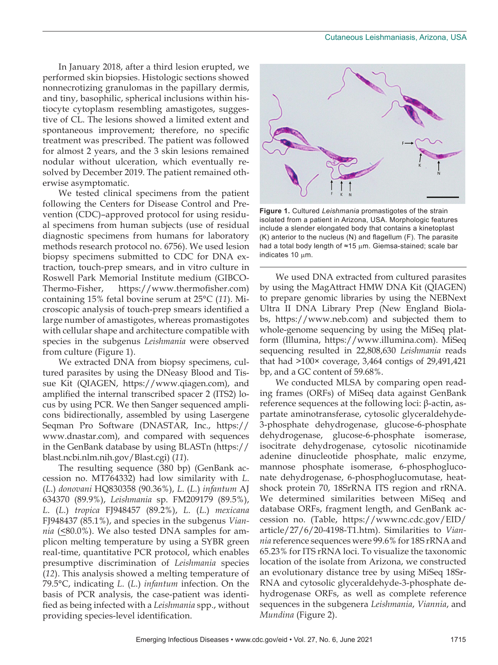In January 2018, after a third lesion erupted, we performed skin biopsies. Histologic sections showed nonnecrotizing granulomas in the papillary dermis, and tiny, basophilic, spherical inclusions within histiocyte cytoplasm resembling amastigotes, suggestive of CL. The lesions showed a limited extent and spontaneous improvement; therefore, no specific treatment was prescribed. The patient was followed for almost 2 years, and the 3 skin lesions remained nodular without ulceration, which eventually resolved by December 2019. The patient remained otherwise asymptomatic.

We tested clinical specimens from the patient following the Centers for Disease Control and Prevention (CDC)–approved protocol for using residual specimens from human subjects (use of residual diagnostic specimens from humans for laboratory methods research protocol no. 6756). We used lesion biopsy specimens submitted to CDC for DNA extraction, touch-prep smears, and in vitro culture in Roswell Park Memorial Institute medium (GIBCO-Thermo-Fisher, https://www.thermofisher.com) containing 15% fetal bovine serum at 25°C (*11*). Microscopic analysis of touch-prep smears identified a large number of amastigotes, whereas promastigotes with cellular shape and architecture compatible with species in the subgenus *Leishmania* were observed from culture (Figure 1).

We extracted DNA from biopsy specimens, cultured parasites by using the DNeasy Blood and Tissue Kit (QIAGEN, https://www.qiagen.com), and amplified the internal transcribed spacer 2 (ITS2) locus by using PCR. We then Sanger sequenced amplicons bidirectionally, assembled by using Lasergene Seqman Pro Software (DNASTAR, Inc., https:// www.dnastar.com), and compared with sequences in the GenBank database by using BLASTn (https:// blast.ncbi.nlm.nih.gov/Blast.cgi) (*11*).

The resulting sequence (380 bp) (GenBank accession no. MT764332) had low similarity with *L*. (*L*.) *donovani* HQ830358 (90.36%), *L*. (*L*.) *infantum* AJ 634370 (89.9%), *Leishmania* sp. FM209179 (89.5%), *L*. (*L*.) *tropica* FJ948457 (89.2%), *L*. (*L*.) *mexicana* FJ948437 (85.1%), and species in the subgenus *Viannia* ( $\leq$ 80.0%). We also tested DNA samples for amplicon melting temperature by using a SYBR green real-time, quantitative PCR protocol, which enables presumptive discrimination of *Leishmania* species (*12*). This analysis showed a melting temperature of 79.5°C, indicating *L*. (*L*.) *infantum* infection. On the basis of PCR analysis, the case-patient was identified as being infected with a *Leishmania* spp., without providing species-level identification.



**Figure 1.** Cultured *Leishmania* promastigotes of the strain isolated from a patient in Arizona, USA. Morphologic features include a slender elongated body that contains a kinetoplast (K) anterior to the nucleus (N) and flagellum (F). The parasite had a total body length of ≈15 µm. Giemsa-stained; scale bar indicates  $10 \mu m$ .

We used DNA extracted from cultured parasites by using the MagAttract HMW DNA Kit (QIAGEN) to prepare genomic libraries by using the NEBNext Ultra II DNA Library Prep (New England Biolabs, https://www.neb.com) and subjected them to whole-genome sequencing by using the MiSeq platform (Illumina, https://www.illumina.com). MiSeq sequencing resulted in 22,808,630 *Leishmania* reads that had >100× coverage, 3,464 contigs of 29,491,421 bp, and a GC content of 59.68%.

We conducted MLSA by comparing open reading frames (ORFs) of MiSeq data against GenBank reference sequences at the following loci: β-actin, aspartate aminotransferase, cytosolic glyceraldehyde-3-phosphate dehydrogenase, glucose-6-phosphate dehydrogenase, glucose-6-phosphate isomerase, isocitrate dehydrogenase, cytosolic nicotinamide adenine dinucleotide phosphate, malic enzyme, mannose phosphate isomerase, 6-phosphogluconate dehydrogenase, 6-phosphoglucomutase, heatshock protein 70, 18SrRNA ITS region and rRNA. We determined similarities between MiSeq and database ORFs, fragment length, and GenBank accession no. (Table, https://wwwnc.cdc.gov/EID/ article/27/6/20-4198-T1.htm). Similarities to *Viannia* reference sequences were 99.6% for 18S rRNA and 65.23% for ITS rRNA loci. To visualize the taxonomic location of the isolate from Arizona, we constructed an evolutionary distance tree by using MiSeq 18Sr-RNA and cytosolic glyceraldehyde-3-phosphate dehydrogenase ORFs, as well as complete reference sequences in the subgenera *Leishmania*, *Viannia*, and *Mundina* (Figure 2).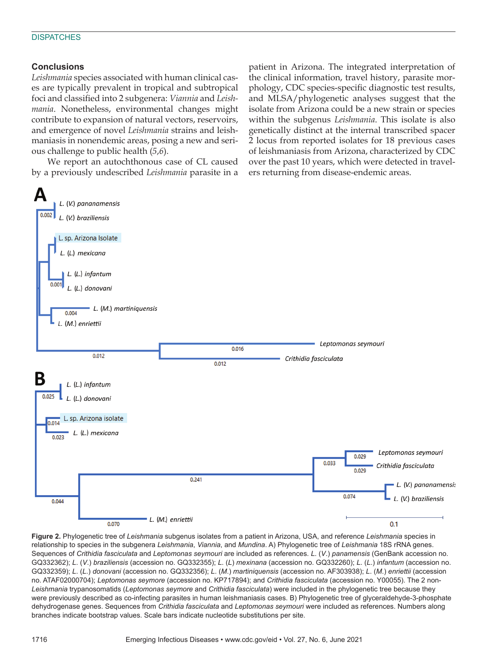#### **DISPATCHES**

## **Conclusions**

*Leishmania* species associated with human clinical cases are typically prevalent in tropical and subtropical foci and classified into 2 subgenera: *Viannia* and *Leishmania*. Nonetheless, environmental changes might contribute to expansion of natural vectors, reservoirs, and emergence of novel *Leishmania* strains and leishmaniasis in nonendemic areas, posing a new and serious challenge to public health (*5*,*6*).

We report an autochthonous case of CL caused by a previously undescribed *Leishmania* parasite in a patient in Arizona. The integrated interpretation of the clinical information, travel history, parasite morphology, CDC species-specific diagnostic test results, and MLSA/phylogenetic analyses suggest that the isolate from Arizona could be a new strain or species within the subgenus *Leishmania*. This isolate is also genetically distinct at the internal transcribed spacer 2 locus from reported isolates for 18 previous cases of leishmaniasis from Arizona, characterized by CDC over the past 10 years, which were detected in travelers returning from disease-endemic areas.



**Figure 2.** Phylogenetic tree of *Leishmania* subgenus isolates from a patient in Arizona, USA, and reference *Leishmania* species in relationship to species in the subgenera *Leishmania*, *Viannia*, and *Mundina*. A) Phylogenetic tree of *Leishmania* 18S rRNA genes. Sequences of *Crithidia fasciculata* and *Leptomonas seymouri* are included as references. *L*. (*V*.) *panamensis* (GenBank accession no. GQ332362); *L*. (*V*.) *braziliensis* (accession no. GQ332355); *L*. (*L*) *mexinana* (accession no. GQ332260); *L*. (*L*.) *infantum* (accession no. GQ332359); *L*. (*L*.) *donovani* (accession no. GQ332356); *L*. (*M*.) *martiniquensis* (accession no. AF303938); *L*. (*M*.) *enriettii* (accession no. ATAF02000704); *Leptomonas seymore* (accession no. KP717894); and *Crithidia fasciculata* (accession no. Y00055). The 2 non-*Leishmania* trypanosomatids (*Leptomonas seymore* and *Crithidia fasciculata*) were included in the phylogenetic tree because they were previously described as co-infecting parasites in human leishmaniasis cases. B) Phylogenetic tree of glyceraldehyde-3-phosphate dehydrogenase genes. Sequences from *Crithidia fasciculata* and *Leptomonas seymouri* were included as references. Numbers along branches indicate bootstrap values. Scale bars indicate nucleotide substitutions per site.